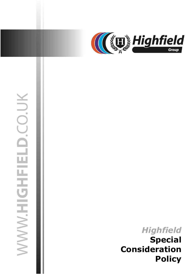

# **MWWHIGHFIELD.CO.UK**

# *Highfield*  **Special Consideration Policy**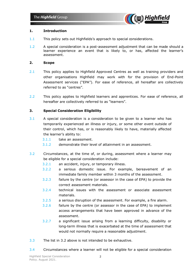

## **1. Introduction**

- 1.1 This policy sets out Highfields's approach to special considerations.
- 1.2 A special consideration is a post-assessment adjustment that can be made should a learner experience an event that is likely to, or has, affected the learner's assessment.

### **2. Scope**

- 2.1 This policy applies to Highfield Approved Centres as well as training providers and other organisations Highfield may work with for the provision of End-Point Assessment services ("EPA"). For ease of reference, all hereafter are collectively referred to as "centres".
- 2.2 This policy applies to Highfield learners and apprentices. For ease of reference, all hereafter are collectively referred to as "learners".

## **3. Special Consideration Eligibility**

- 3.1 A special consideration is a consideration to be given to a learner who has temporarily experienced an illness or injury, or some other event outside of their control, which has, or is reasonably likely to have, materially affected the learner's ability to:
	- 3.1.1 take an assessment.
	- 3.1.2 demonstrate their level of attainment in an assessment.
- 3.2 Circumstances, at the time of, or during, assessment where a learner may be eligible for a special consideration include:
	- 3.2.1 an accident, injury, or temporary illness.
	- 3.2.2 a serious domestic issue. For example, bereavement of an immediate family member within 3 months of the assessment.
	- 3.2.3 failure by the centre (or assessor in the case of EPA) to provide the correct assessment materials.
	- 3.2.4 technical issues with the assessment or associate assessment materials.
	- 3.2.5 a serious disruption of the assessment. For example, a fire alarm.
	- 3.2.6 failure by the centre (or assessor in the case of EPA) to implement access arrangements that have been approved in advance of the assessment.
	- 3.2.7 a significant issue arising from a learning difficulty, disability or long-term illness that is exacerbated at the time of assessment that would not normally require a reasonable adjustment.
- 3.3 The list in 3.2 above is not intended to be exhaustive.
- 3.4 Circumstances where a learner will not be eligible for a special consideration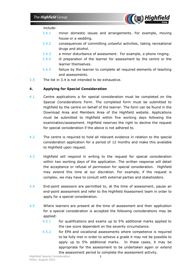

### include:

- 3.4.1 minor domestic issues and arrangements. For example, moving house or a wedding.
- 3.4.2 consequences of committing unlawful activities, taking recreational drugs and alcohol.
- 3.4.3 a minor disturbance of assessment. For example, a phone ringing.
- 3.4.4 ill preparation of the learner for assessment by the centre or the learner themselves.
- 3.4.5 failure by the learner to complete all required elements of teaching and assessments.
- 3.5 The list in 3.4 is not intended to be exhaustive.

# **4. Applying for Special Consideration**

- 4.1 Centre applications a for special consideration must be completed on the Special Considerations Form. The completed form must be submitted to Highfield by the centre on behalf of the learner. The form can be found in the Download Area and Members Area of the Highfield website. Applications must be submitted to Highfield within five working days following the examination/assessment. Highfield reserves the right to decline the request for special consideration if the above is not adhered to.
- 4.2 The centre is required to hold all relevant evidence in relation to the special consideration application for a period of 12 months and make this available to Highfield upon request.
- 4.3 Highfield will respond in writing to the request for special consideration within two working days of the application. The written response will detail the acceptance or refusal of permission for special consideration. Highfield may extend this time at our discretion. For example, if the request is complex, we may have to consult with external parties and stakeholders.
- 4.4 End-point assessors are permitted to, at the time of assessment, pause an end-point assessment and refer to the Highfield Assessment team in order to apply for a special consideration.
- 4.5 Where learners are present at the time of assessment and their application for a special consideration is accepted the following considerations may be applied:
	- 4.5.1 for qualifications and exams up to 5% additional marks applied to the raw score dependent on the severity circumstance.
	- 4.5.2 for EPA and vocational assessments where competence is required to be fully met in order to achieve a grade it may not be possible to apply up to 5% additional marks. In these cases, it may be appropriate for the assessment to be undertaken again or extend the assessment period to complete the assessment activity.